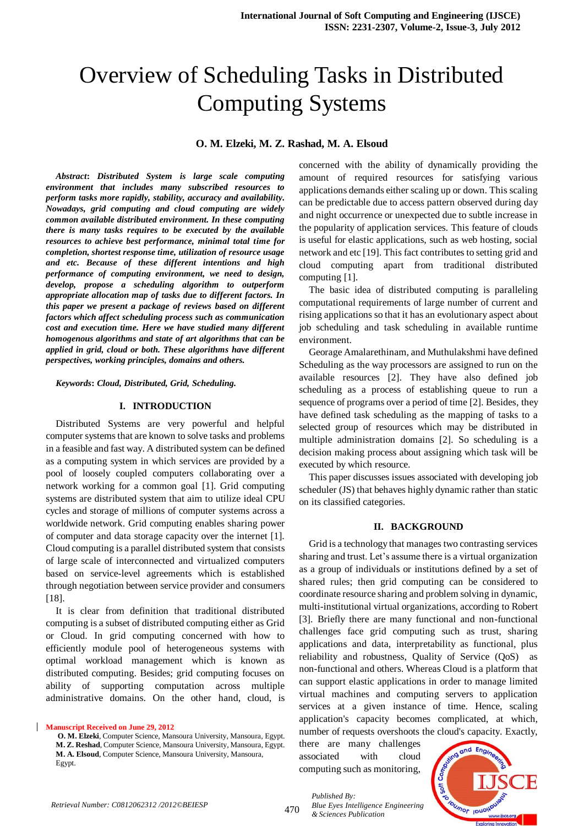# Overview of Scheduling Tasks in Distributed Computing Systems

## **O. M. Elzeki, M. Z. Rashad, M. A. Elsoud**

*Abstract***:** *Distributed System is large scale computing environment that includes many subscribed resources to perform tasks more rapidly, stability, accuracy and availability. Nowadays, grid computing and cloud computing are widely common available distributed environment. In these computing there is many tasks requires to be executed by the available resources to achieve best performance, minimal total time for completion, shortest response time, utilization of resource usage and etc. Because of these different intentions and high performance of computing environment, we need to design, develop, propose a scheduling algorithm to outperform appropriate allocation map of tasks due to different factors. In this paper we present a package of reviews based on different factors which affect scheduling process such as communication cost and execution time. Here we have studied many different homogenous algorithms and state of art algorithms that can be applied in grid, cloud or both. These algorithms have different perspectives, working principles, domains and others.* 

*Keywords***:** *Cloud, Distributed, Grid, Scheduling.*

#### **I. INTRODUCTION**

Distributed Systems are very powerful and helpful computer systems that are known to solve tasks and problems in a feasible and fast way. A distributed system can be defined as a computing system in which services are provided by a pool of loosely coupled computers collaborating over a network working for a common goal [1]. Grid computing systems are distributed system that aim to utilize ideal CPU cycles and storage of millions of computer systems across a worldwide network. Grid computing enables sharing power of computer and data storage capacity over the internet [1]. Cloud computing is a parallel distributed system that consists of large scale of interconnected and virtualized computers based on service-level agreements which is established through negotiation between service provider and consumers [18].

It is clear from definition that traditional distributed computing is a subset of distributed computing either as Grid or Cloud. In grid computing concerned with how to efficiently module pool of heterogeneous systems with optimal workload management which is known as distributed computing. Besides; grid computing focuses on ability of supporting computation across multiple administrative domains. On the other hand, cloud, is

**Manuscript Received on June 29, 2012 O. M. Elzeki**, Computer Science, Mansoura University, Mansoura, Egypt. **M. Z. Reshad**, Computer Science, Mansoura University, Mansoura, Egypt. **M. A. Elsoud**, Computer Science, Mansoura University, Mansoura,

concerned with the ability of dynamically providing the amount of required resources for satisfying various applications demands either scaling up or down. This scaling can be predictable due to access pattern observed during day and night occurrence or unexpected due to subtle increase in the popularity of application services. This feature of clouds is useful for elastic applications, such as web hosting, social network and etc [19]. This fact contributes to setting grid and cloud computing apart from traditional distributed computing [1].

The basic idea of distributed computing is paralleling computational requirements of large number of current and rising applications so that it has an evolutionary aspect about job scheduling and task scheduling in available runtime environment.

Georage Amalarethinam, and Muthulakshmi have defined Scheduling as the way processors are assigned to run on the available resources [2]. They have also defined job scheduling as a process of establishing queue to run a sequence of programs over a period of time [2]. Besides, they have defined task scheduling as the mapping of tasks to a selected group of resources which may be distributed in multiple administration domains [2]. So scheduling is a decision making process about assigning which task will be executed by which resource.

This paper discusses issues associated with developing job scheduler (JS) that behaves highly dynamic rather than static on its classified categories.

#### **II. BACKGROUND**

Grid is a technology that manages two contrasting services sharing and trust. Let's assume there is a virtual organization as a group of individuals or institutions defined by a set of shared rules; then grid computing can be considered to coordinate resource sharing and problem solving in dynamic, multi-institutional virtual organizations, according to Robert [3]. Briefly there are many functional and non-functional challenges face grid computing such as trust, sharing applications and data, interpretability as functional, plus reliability and robustness, Quality of Service (QoS) as non-functional and others. Whereas Cloud is a platform that can support elastic applications in order to manage limited virtual machines and computing servers to application services at a given instance of time. Hence, scaling application's capacity becomes complicated, at which, number of requests overshoots the cloud's capacity. Exactly,

there are many challenges associated with cloud computing such as monitoring,

*Published By:*



Egypt.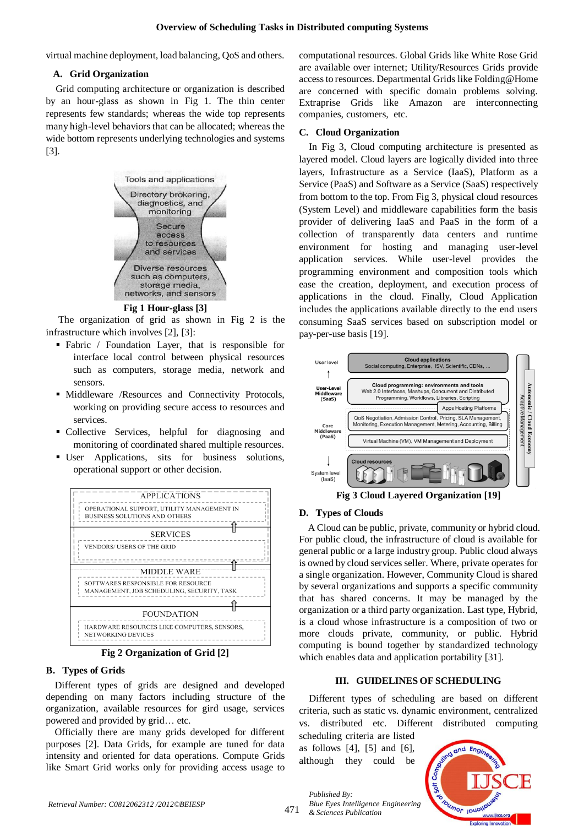virtual machine deployment, load balancing, QoS and others.

# **A. Grid Organization**

Grid computing architecture or organization is described by an hour-glass as shown in Fig 1. The thin center represents few standards; whereas the wide top represents many high-level behaviors that can be allocated; whereas the wide bottom represents underlying technologies and systems [3].



**Fig 1 Hour-glass [3]**

The organization of grid as shown in Fig 2 is the infrastructure which involves [2], [3]:

- Fabric / Foundation Layer, that is responsible for interface local control between physical resources such as computers, storage media, network and sensors.
- $\blacksquare$  Middleware /Resources and Connectivity Protocols, working on providing secure access to resources and services.
- Collective Services, helpful for diagnosing and monitoring of coordinated shared multiple resources.
- User Applications, sits for business solutions, operational support or other decision.



**Fig 2 Organization of Grid [2]**

# **B. Types of Grids**

Different types of grids are designed and developed depending on many factors including structure of the organization, available resources for gird usage, services powered and provided by grid… etc.

Officially there are many grids developed for different purposes [2]. Data Grids, for example are tuned for data intensity and oriented for data operations. Compute Grids like Smart Grid works only for providing access usage to computational resources. Global Grids like White Rose Grid are available over internet; Utility/Resources Grids provide access to resources. Departmental Grids like Folding@Home are concerned with specific domain problems solving. Extraprise Grids like Amazon are interconnecting companies, customers, etc.

# **C. Cloud Organization**

In Fig 3, Cloud computing architecture is presented as layered model. Cloud layers are logically divided into three layers, Infrastructure as a Service (IaaS), Platform as a Service (PaaS) and Software as a Service (SaaS) respectively from bottom to the top. From Fig 3, physical cloud resources (System Level) and middleware capabilities form the basis provider of delivering IaaS and PaaS in the form of a collection of transparently data centers and runtime environment for hosting and managing user-level application services. While user-level provides the programming environment and composition tools which ease the creation, deployment, and execution process of applications in the cloud. Finally, Cloud Application includes the applications available directly to the end users consuming SaaS services based on subscription model or pay-per-use basis [19].



# **Fig 3 Cloud Layered Organization [19]**

# **D. Types of Clouds**

A Cloud can be public, private, community or hybrid cloud. For public cloud, the infrastructure of cloud is available for general public or a large industry group. Public cloud always is owned by cloud services seller. Where, private operates for a single organization. However, Community Cloud is shared by several organizations and supports a specific community that has shared concerns. It may be managed by the organization or a third party organization. Last type, Hybrid, is a cloud whose infrastructure is a composition of two or more clouds private, community, or public. Hybrid computing is bound together by standardized technology which enables data and application portability [31].

# **III. GUIDELINES OF SCHEDULING**

Different types of scheduling are based on different criteria, such as static vs. dynamic environment, centralized vs. distributed etc. Different distributed computing

scheduling criteria are listed as follows [4], [5] and [6], although they could be



*Published By:*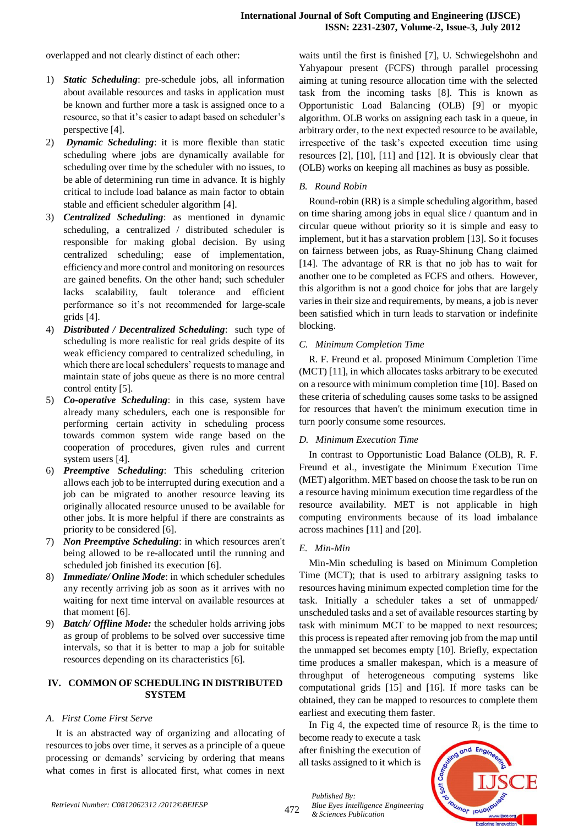overlapped and not clearly distinct of each other:

- 1) *Static Scheduling*: pre-schedule jobs, all information about available resources and tasks in application must be known and further more a task is assigned once to a resource, so that it's easier to adapt based on scheduler's perspective [4].
- 2) *Dynamic Scheduling*: it is more flexible than static scheduling where jobs are dynamically available for scheduling over time by the scheduler with no issues, to be able of determining run time in advance. It is highly critical to include load balance as main factor to obtain stable and efficient scheduler algorithm [4].
- 3) *Centralized Scheduling*: as mentioned in dynamic scheduling, a centralized / distributed scheduler is responsible for making global decision. By using centralized scheduling; ease of implementation, efficiency and more control and monitoring on resources are gained benefits. On the other hand; such scheduler lacks scalability, fault tolerance and efficient performance so it's not recommended for large-scale grids [4].
- 4) *Distributed / Decentralized Scheduling*: such type of scheduling is more realistic for real grids despite of its weak efficiency compared to centralized scheduling, in which there are local schedulers' requests to manage and maintain state of jobs queue as there is no more central control entity [5].
- 5) *Co-operative Scheduling*: in this case, system have already many schedulers, each one is responsible for performing certain activity in scheduling process towards common system wide range based on the cooperation of procedures, given rules and current system users [4].
- 6) *Preemptive Scheduling*: This scheduling criterion allows each job to be interrupted during execution and a job can be migrated to another resource leaving its originally allocated resource unused to be available for other jobs. It is more helpful if there are constraints as priority to be considered [6].
- 7) *Non Preemptive Scheduling*: in which resources aren't being allowed to be re-allocated until the running and scheduled job finished its execution [6].
- 8) *Immediate/ Online Mode*: in which scheduler schedules any recently arriving job as soon as it arrives with no waiting for next time interval on available resources at that moment [6].
- 9) *Batch/ Offline Mode:* the scheduler holds arriving jobs as group of problems to be solved over successive time intervals, so that it is better to map a job for suitable resources depending on its characteristics [6].

# **IV. COMMON OF SCHEDULING IN DISTRIBUTED SYSTEM**

# *A. First Come First Serve*

It is an abstracted way of organizing and allocating of resources to jobs over time, it serves as a principle of a queue processing or demands' servicing by ordering that means what comes in first is allocated first, what comes in next

waits until the first is finished [7], U. Schwiegelshohn and Yahyapour present (FCFS) through parallel processing aiming at tuning resource allocation time with the selected task from the incoming tasks [8]. This is known as Opportunistic Load Balancing (OLB) [9] or myopic algorithm. OLB works on assigning each task in a queue, in arbitrary order, to the next expected resource to be available, irrespective of the task's expected execution time using resources [2], [10], [11] and [12]. It is obviously clear that (OLB) works on keeping all machines as busy as possible.

# *B. Round Robin*

Round-robin (RR) is a simpl[e scheduling algorithm,](http://en.wikipedia.org/wiki/Scheduling_algorithm) based on time sharing among jobs in equal slice / quantum and in circular queue without [priority](http://en.wikipedia.org/wiki/Priority) so it is simple and easy to implement, but it has a [starvation](http://en.wikipedia.org/wiki/Resource_starvation) problem [13]. So it focuses on fairness between jobs, as Ruay-Shinung Chang claimed [14]. The advantage of RR is that no job has to wait for another one to be completed as FCFS and others. However, this algorithm is not a good choice for jobs that are largely varies in their size and requirements, by means, a job is never been satisfied which in turn leads to starvation or indefinite blocking.

# *C. Minimum Completion Time*

R. F. Freund et al. proposed Minimum Completion Time (MCT) [11], in which allocates tasks arbitrary to be executed on a resource with minimum completion time [10]. Based on these criteria of scheduling causes some tasks to be assigned for resources that haven't the minimum execution time in turn poorly consume some resources.

# *D. Minimum Execution Time*

In contrast to Opportunistic Load Balance (OLB), R. F. Freund et al., investigate the Minimum Execution Time (MET) algorithm. MET based on choose the task to be run on a resource having minimum execution time regardless of the resource availability. MET is not applicable in high computing environments because of its load imbalance across machines [11] and [20].

# *E. Min-Min*

Min-Min scheduling is based on Minimum Completion Time (MCT); that is used to arbitrary assigning tasks to resources having minimum expected completion time for the task. Initially a scheduler takes a set of unmapped/ unscheduled tasks and a set of available resources starting by task with minimum MCT to be mapped to next resources; this process is repeated after removing job from the map until the unmapped set becomes empty [10]. Briefly, expectation time produces a smaller makespan, which is a measure of throughput of heterogeneous computing systems like computational grids [15] and [16]. If more tasks can be obtained, they can be mapped to resources to complete them earliest and executing them faster.

In Fig 4, the expected time of resource  $R_j$  is the time to

become ready to execute a task after finishing the execution of all tasks assigned to it which is

*Blue Eyes Intelligence Engineering* 



*Published By:*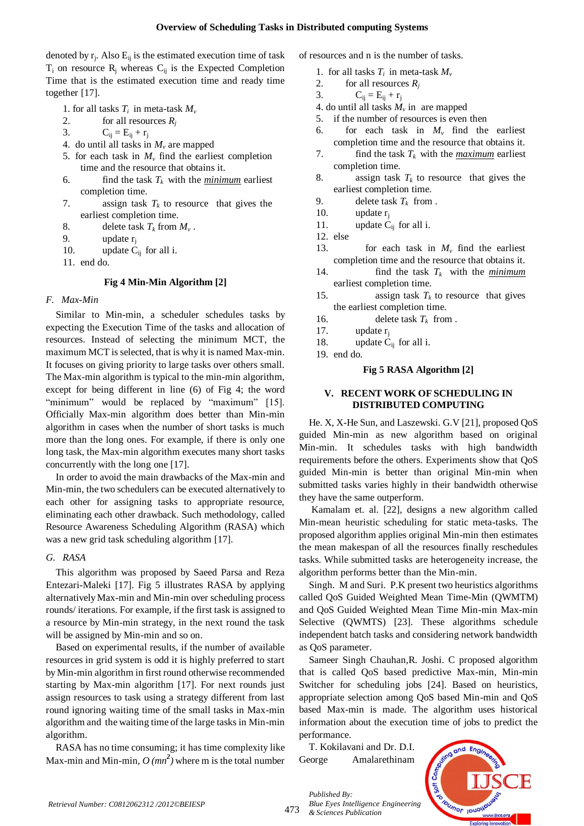denoted by  $r_j$ . Also  $E_{ij}$  is the estimated execution time of task  $T_i$  on resource  $R_i$  whereas  $C_{ij}$  is the Expected Completion Time that is the estimated execution time and ready time together [17].

- 1. for all tasks  $T_i$  in meta-task  $M_{\nu}$
- 2. for all resources *R<sup>j</sup>*
- 3.  $C_{ij} = E_{ij} + r_j$
- 4. do until all tasks in  $M_v$  are mapped
- 5. for each task in  $M<sub>v</sub>$  find the earliest completion time and the resource that obtains it.
- 6. find the task  $T_k$  with the *minimum* earliest completion time.
- 7. assign task  $T_k$  to resource that gives the earliest completion time.
- 8. delete task  $T_k$  from  $M_\nu$ .
- 9. update  $r_i$
- 10. update  $C_{ij}$  for all i.
- 11. end do.

### **Fig 4 Min-Min Algorithm [2]**

### *F. Max-Min*

Similar to Min-min, a scheduler schedules tasks by expecting the Execution Time of the tasks and allocation of resources. Instead of selecting the minimum MCT, the maximum MCT is selected, that is why it is named Max-min. It focuses on giving priority to large tasks over others small. The Max-min algorithm is typical to the min-min algorithm, except for being different in line (6) of Fig 4; the word "minimum" would be replaced by "maximum" [15]. Officially Max-min algorithm does better than Min-min algorithm in cases when the number of short tasks is much more than the long ones. For example, if there is only one long task, the Max-min algorithm executes many short tasks concurrently with the long one [17].

In order to avoid the main drawbacks of the Max-min and Min-min, the two schedulers can be executed alternatively to each other for assigning tasks to appropriate resource, eliminating each other drawback. Such methodology, called Resource Awareness Scheduling Algorithm (RASA) which was a new grid task scheduling algorithm [17].

### *G. RASA*

This algorithm was proposed by Saeed Parsa and Reza Entezari-Maleki [17]. Fig 5 illustrates RASA by applying alternatively Max-min and Min-min over scheduling process rounds/ iterations. For example, if the first task is assigned to a resource by Min-min strategy, in the next round the task will be assigned by Min-min and so on.

Based on experimental results, if the number of available resources in grid system is odd it is highly preferred to start by Min-min algorithm in first round otherwise recommended starting by Max-min algorithm [17]. For next rounds just assign resources to task using a strategy different from last round ignoring waiting time of the small tasks in Max-min algorithm and the waiting time of the large tasks in Min-min algorithm.

RASA has no time consuming; it has time complexity like Max-min and Min-min,  $O$  ( $mn^2$ ) where m is the total number of resources and n is the number of tasks.

- 1. for all tasks  $T_i$  in meta-task  $M_i$
- 2. for all resources  $R_i$
- 3.  $C_{ii} = E_{ii} + r_i$
- 4. do until all tasks  $M_{\nu}$  in are mapped
- 5. if the number of resources is even then
- 6. for each task in  $M_v$  find the earliest completion time and the resource that obtains it.
- 7. find the task  $T_k$  with the *maximum* earliest completion time.
- 8. assign task  $T_k$  to resource that gives the earliest completion time.
- 9. delete task  $T_k$  from .
- 10. update  $r_i$
- 11. update  $\dot{C}_{ij}$  for all i.
- 12. else
- 13. for each task in  $M_v$  find the earliest completion time and the resource that obtains it.
- 14. find the task  $T_k$  with the *minimum* earliest completion time.
- 15. assign task  $T_k$  to resource that gives the earliest completion time.
- 16. delete task  $T_k$  from .
- 17. update  $r_i$
- 18. update  $C_{ij}$  for all i.
- 19. end do.

## **Fig 5 RASA Algorithm [2]**

## **V. RECENT WORK OF SCHEDULING IN DISTRIBUTED COMPUTING**

He. X, X-He Sun, and Laszewski. G.V [21], proposed QoS guided Min-min as new algorithm based on original Min-min. It schedules tasks with high bandwidth requirements before the others. Experiments show that QoS guided Min-min is better than original Min-min when submitted tasks varies highly in their bandwidth otherwise they have the same outperform.

Kamalam et. al. [22], designs a new algorithm called Min-mean heuristic scheduling for static meta-tasks. The proposed algorithm applies original Min-min then estimates the mean makespan of all the resources finally reschedules tasks. While submitted tasks are heterogeneity increase, the algorithm performs better than the Min-min.

Singh. M and Suri. P.K present two heuristics algorithms called QoS Guided Weighted Mean Time-Min (QWMTM) and QoS Guided Weighted Mean Time Min-min Max-min Selective (QWMTS) [23]. These algorithms schedule independent batch tasks and considering network bandwidth as QoS parameter.

Sameer Singh Chauhan,R. Joshi. C proposed algorithm that is called QoS based predictive Max-min, Min-min Switcher for scheduling jobs [24]. Based on heuristics, appropriate selection among QoS based Min-min and QoS based Max-min is made. The algorithm uses historical information about the execution time of jobs to predict the performance.

T. Kokilavani and Dr. D.I. George Amalarethinam

*Blue Eyes Intelligence Engineering* 

*Published By:*

*& Sciences Publication* 



473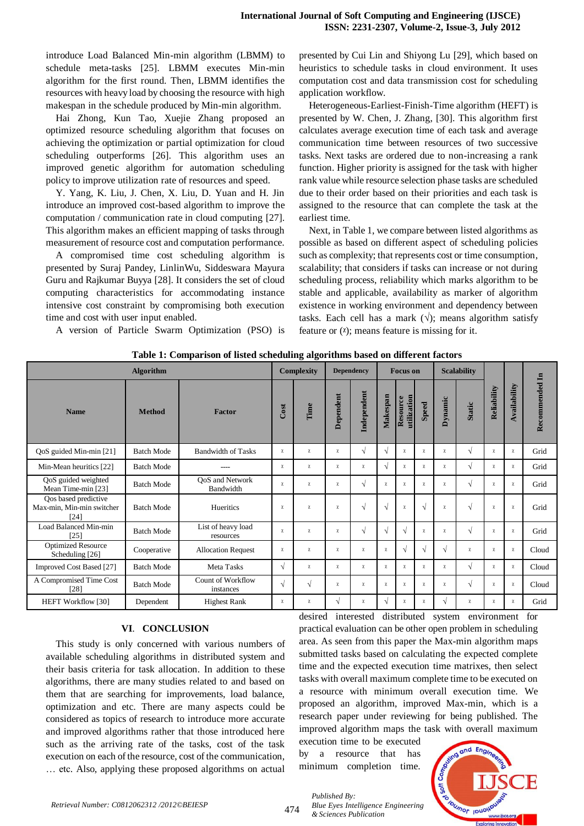introduce Load Balanced Min-min algorithm (LBMM) to schedule meta-tasks [25]. LBMM executes Min-min algorithm for the first round. Then, LBMM identifies the resources with heavy load by choosing the resource with high makespan in the schedule produced by Min-min algorithm.

Hai Zhong, Kun Tao, Xuejie Zhang proposed an optimized resource scheduling algorithm that focuses on achieving the optimization or partial optimization for cloud scheduling outperforms [26]. This algorithm uses an improved genetic algorithm for automation scheduling policy to improve utilization rate of resources and speed.

Y. Yang, K. Liu, J. Chen, X. Liu, D. Yuan and H. Jin introduce an improved cost-based algorithm to improve the computation / communication rate in cloud computing [27]. This algorithm makes an efficient mapping of tasks through measurement of resource cost and computation performance.

A compromised time cost scheduling algorithm is presented by Suraj Pandey, LinlinWu, Siddeswara Mayura Guru and Rajkumar Buyya [28]. It considers the set of cloud computing characteristics for accommodating instance intensive cost constraint by compromising both execution time and cost with user input enabled.

A version of Particle Swarm Optimization (PSO) is

presented by Cui Lin and Shiyong Lu [29], which based on heuristics to schedule tasks in cloud environment. It uses computation cost and data transmission cost for scheduling application workflow.

Heterogeneous-Earliest-Finish-Time algorithm (HEFT) is presented by W. Chen, J. Zhang, [30]. This algorithm first calculates average execution time of each task and average communication time between resources of two successive tasks. Next tasks are ordered due to non-increasing a rank function. Higher priority is assigned for the task with higher rank value while resource selection phase tasks are scheduled due to their order based on their priorities and each task is assigned to the resource that can complete the task at the earliest time.

Next, in Table 1, we compare between listed algorithms as possible as based on different aspect of scheduling policies such as complexity; that represents cost or time consumption, scalability; that considers if tasks can increase or not during scheduling process, reliability which marks algorithm to be stable and applicable, availability as marker of algorithm existence in working environment and dependency between tasks. Each cell has a mark  $(\sqrt{x})$ ; means algorithm satisfy feature or  $(1)$ ; means feature is missing for it.

| <b>Algorithm</b>                                          |                   |                                 |            | <b>Complexity</b> |           | <b>Dependency</b> |            | <b>Focus</b> on         |              |            | <b>Scalability</b> |             |              |                |
|-----------------------------------------------------------|-------------------|---------------------------------|------------|-------------------|-----------|-------------------|------------|-------------------------|--------------|------------|--------------------|-------------|--------------|----------------|
| <b>Name</b>                                               | <b>Method</b>     | <b>Factor</b>                   | Cost       | Time              | Dependent | Independent       | Makespan   | utilization<br>Resource | <b>Speed</b> | Dynamic    | <b>Static</b>      | Reliability | Availability | Recommended In |
| QoS guided Min-min [21]                                   | <b>Batch Mode</b> | <b>Bandwidth of Tasks</b>       | $\chi$     | χ                 | χ         | $\sqrt{ }$        | $\sqrt{ }$ | $\chi$                  | χ            | $\chi$     | $\sqrt{ }$         | χ           | χ            | Grid           |
| Min-Mean heuritics [22]                                   | <b>Batch Mode</b> |                                 | $\chi$     | $\chi$            | χ         | χ                 | $\sqrt{ }$ | $\chi$                  | χ            | $\chi$     | $\sqrt{ }$         | χ           | χ            | Grid           |
| QoS guided weighted<br>Mean Time-min [23]                 | <b>Batch Mode</b> | QoS and Network<br>Bandwidth    | $\chi$     | χ                 | $\chi$    | $\sqrt{}$         | $\chi$     | $\chi$                  | χ            | $\chi$     | $\sqrt{ }$         | $\chi$      | $\chi$       | Grid           |
| Qos based predictive<br>Max-min, Min-min switcher<br>[24] | <b>Batch Mode</b> | Hueritics                       | $\chi$     | χ                 | $\chi$    | $\sqrt{ }$        | $\sqrt{ }$ | $\chi$                  | $\sqrt{ }$   | $\chi$     | $\sqrt{ }$         | $\chi$      | $\chi$       | Grid           |
| Load Balanced Min-min<br>[25]                             | <b>Batch Mode</b> | List of heavy load<br>resources | $\chi$     | χ                 | χ         | $\sqrt{ }$        | $\sqrt{ }$ | $\sqrt{}$               | χ            | $\chi$     | $\sqrt{ }$         | χ           | χ            | Grid           |
| <b>Optimized Resource</b><br>Scheduling [26]              | Cooperative       | <b>Allocation Request</b>       | $\chi$     | χ                 | χ         | $\chi$            | $\chi$     | $\sqrt{}$               | $\sqrt{ }$   | $\sqrt{ }$ | $\chi$             | $\chi$      | $\chi$       | Cloud          |
| Improved Cost Based [27]                                  | <b>Batch Mode</b> | Meta Tasks                      | $\sqrt{ }$ | χ                 | χ         | χ                 | $\chi$     | $\chi$                  | χ            | χ          | $\sqrt{ }$         | χ           | χ            | Cloud          |
| A Compromised Time Cost<br>[28]                           | <b>Batch Mode</b> | Count of Workflow<br>instances  | $\sqrt{ }$ | $\sqrt{ }$        | $\chi$    | χ                 | $\chi$     | $\chi$                  | χ            | $\chi$     | $\sqrt{ }$         | χ           | χ            | Cloud          |
| <b>HEFT Workflow [30]</b>                                 | Dependent         | <b>Highest Rank</b>             | $\chi$     | χ                 | V         | χ                 | $\sqrt{ }$ | χ                       | χ            | V          | $\chi$             | χ           | χ            | Grid           |

**Table 1: Comparison of listed scheduling algorithms based on different factors** 

# **VI**. **CONCLUSION**

This study is only concerned with various numbers of available scheduling algorithms in distributed system and their basis criteria for task allocation. In addition to these algorithms, there are many studies related to and based on them that are searching for improvements, load balance, optimization and etc. There are many aspects could be considered as topics of research to introduce more accurate and improved algorithms rather that those introduced here such as the arriving rate of the tasks, cost of the task execution on each of the resource, cost of the communication, … etc. Also, applying these proposed algorithms on actual desired interested distributed system environment for practical evaluation can be other open problem in scheduling area. As seen from this paper the Max-min algorithm maps submitted tasks based on calculating the expected complete time and the expected execution time matrixes, then select tasks with overall maximum complete time to be executed on a resource with minimum overall execution time. We proposed an algorithm, improved Max-min, which is a research paper under reviewing for being published. The improved algorithm maps the task with overall maximum

execution time to be executed by a resource that has minimum completion time.

*Blue Eyes Intelligence Engineering* 

*Published By:*